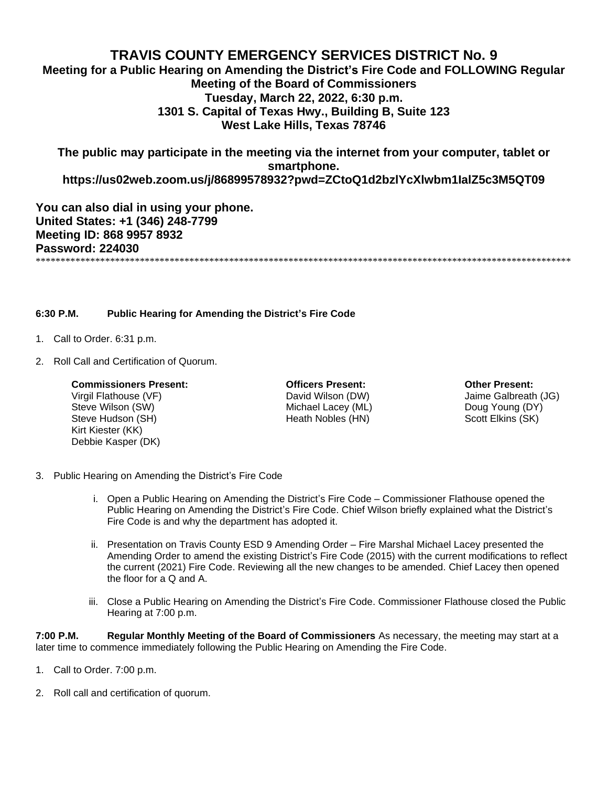## **TRAVIS COUNTY EMERGENCY SERVICES DISTRICT No. 9**

**Meeting for a Public Hearing on Amending the District's Fire Code and FOLLOWING Regular Meeting of the Board of Commissioners Tuesday, March 22, 2022, 6:30 p.m. 1301 S. Capital of Texas Hwy., Building B, Suite 123 West Lake Hills, Texas 78746**

**The public may participate in the meeting via the internet from your computer, tablet or smartphone.** 

**https://us02web.zoom.us/j/86899578932?pwd=ZCtoQ1d2bzlYcXlwbm1IalZ5c3M5QT09**

**You can also dial in using your phone. United States: +1 (346) 248-7799 Meeting ID: 868 9957 8932 Password: 224030** \*\*\*\*\*\*\*\*\*\*\*\*\*\*\*\*\*\*\*\*\*\*\*\*\*\*\*\*\*\*\*\*\*\*\*\*\*\*\*\*\*\*\*\*\*\*\*\*\*\*\*\*\*\*\*\*\*\*\*\*\*\*\*\*\*\*\*\*\*\*\*\*\*\*\*\*\*\*\*\*\*\*\*\*\*\*\*\*\*\*\*\*\*\*\*\*\*\*\*\*\*\*\*\*\*\*\*\*

**6:30 P.M. Public Hearing for Amending the District's Fire Code**

- 1. Call to Order. 6:31 p.m.
- 2. Roll Call and Certification of Quorum.

## **Commissioners Present: Officers Present: Other Present:**

Steve Wilson (SW) **Steve Wilson** (SW) **Michael Lacey (ML)** Doug Young (DY) Steve Hudson (SH) **Steve Hudson (SH)** Heath Nobles (HN) Scott Elkins (SK) Kirt Kiester (KK) Debbie Kasper (DK)

Virgil Flathouse (VF) David Wilson (DW) Jaime Galbreath (JG)

- 3. Public Hearing on Amending the District's Fire Code
	- i. Open a Public Hearing on Amending the District's Fire Code Commissioner Flathouse opened the Public Hearing on Amending the District's Fire Code. Chief Wilson briefly explained what the District's Fire Code is and why the department has adopted it.
	- ii. Presentation on Travis County ESD 9 Amending Order Fire Marshal Michael Lacey presented the Amending Order to amend the existing District's Fire Code (2015) with the current modifications to reflect the current (2021) Fire Code. Reviewing all the new changes to be amended. Chief Lacey then opened the floor for a Q and A.
	- iii. Close a Public Hearing on Amending the District's Fire Code. Commissioner Flathouse closed the Public Hearing at 7:00 p.m.

**7:00 P.M. Regular Monthly Meeting of the Board of Commissioners** As necessary, the meeting may start at a later time to commence immediately following the Public Hearing on Amending the Fire Code.

- 1. Call to Order. 7:00 p.m.
- 2. Roll call and certification of quorum.